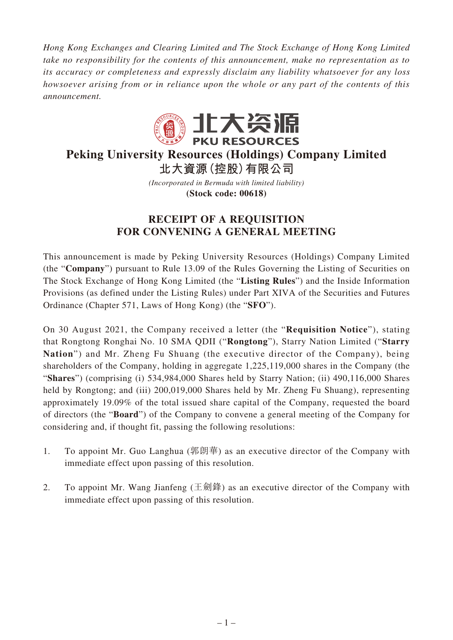*Hong Kong Exchanges and Clearing Limited and The Stock Exchange of Hong Kong Limited take no responsibility for the contents of this announcement, make no representation as to its accuracy or completeness and expressly disclaim any liability whatsoever for any loss howsoever arising from or in reliance upon the whole or any part of the contents of this announcement.*



# **Peking University Resources (Holdings) Company Limited 北大資源(控股)有限公司**

*(Incorporated in Bermuda with limited liability)*

**(Stock code: 00618)**

## **RECEIPT OF A REQUISITION FOR CONVENING A GENERAL MEETING**

This announcement is made by Peking University Resources (Holdings) Company Limited (the "**Company**") pursuant to Rule 13.09 of the Rules Governing the Listing of Securities on The Stock Exchange of Hong Kong Limited (the "**Listing Rules**") and the Inside Information Provisions (as defined under the Listing Rules) under Part XIVA of the Securities and Futures Ordinance (Chapter 571, Laws of Hong Kong) (the "**SFO**").

On 30 August 2021, the Company received a letter (the "**Requisition Notice**"), stating that Rongtong Ronghai No. 10 SMA QDII ("**Rongtong**"), Starry Nation Limited ("**Starry Nation**") and Mr. Zheng Fu Shuang (the executive director of the Company), being shareholders of the Company, holding in aggregate 1,225,119,000 shares in the Company (the "**Shares**") (comprising (i) 534,984,000 Shares held by Starry Nation; (ii) 490,116,000 Shares held by Rongtong; and (iii) 200,019,000 Shares held by Mr. Zheng Fu Shuang), representing approximately 19.09% of the total issued share capital of the Company, requested the board of directors (the "**Board**") of the Company to convene a general meeting of the Company for considering and, if thought fit, passing the following resolutions:

- 1. To appoint Mr. Guo Langhua (郭朗華) as an executive director of the Company with immediate effect upon passing of this resolution.
- 2. To appoint Mr. Wang Jianfeng (王劍鋒) as an executive director of the Company with immediate effect upon passing of this resolution.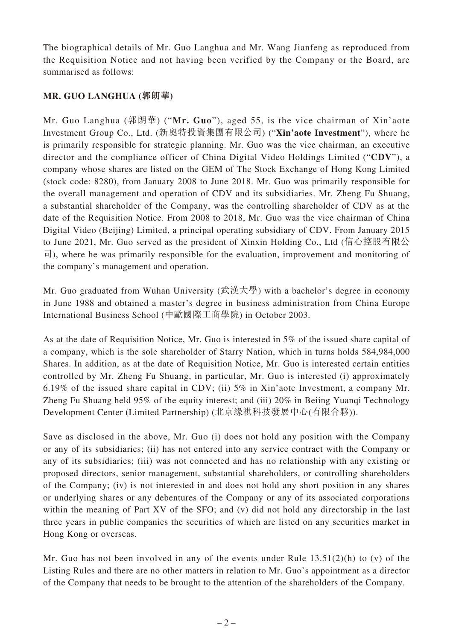The biographical details of Mr. Guo Langhua and Mr. Wang Jianfeng as reproduced from the Requisition Notice and not having been verified by the Company or the Board, are summarised as follows:

## **MR. GUO LANGHUA (郭朗華)**

Mr. Guo Langhua (郭朗華) ("**Mr. Guo**"), aged 55, is the vice chairman of Xin'aote Investment Group Co., Ltd. (新奧特投資集團有限公司) ("**Xin'aote Investment**"), where he is primarily responsible for strategic planning. Mr. Guo was the vice chairman, an executive director and the compliance officer of China Digital Video Holdings Limited ("**CDV**"), a company whose shares are listed on the GEM of The Stock Exchange of Hong Kong Limited (stock code: 8280), from January 2008 to June 2018. Mr. Guo was primarily responsible for the overall management and operation of CDV and its subsidiaries. Mr. Zheng Fu Shuang, a substantial shareholder of the Company, was the controlling shareholder of CDV as at the date of the Requisition Notice. From 2008 to 2018, Mr. Guo was the vice chairman of China Digital Video (Beijing) Limited, a principal operating subsidiary of CDV. From January 2015 to June 2021, Mr. Guo served as the president of Xinxin Holding Co., Ltd (信心控股有限公  $\vec{\mathbb{q}}$ ), where he was primarily responsible for the evaluation, improvement and monitoring of the company's management and operation.

Mr. Guo graduated from Wuhan University (武漢大學) with a bachelor's degree in economy in June 1988 and obtained a master's degree in business administration from China Europe International Business School (中歐國際工商學院) in October 2003.

As at the date of Requisition Notice, Mr. Guo is interested in 5% of the issued share capital of a company, which is the sole shareholder of Starry Nation, which in turns holds 584,984,000 Shares. In addition, as at the date of Requisition Notice, Mr. Guo is interested certain entities controlled by Mr. Zheng Fu Shuang, in particular, Mr. Guo is interested (i) approximately 6.19% of the issued share capital in CDV; (ii) 5% in Xin'aote Investment, a company Mr. Zheng Fu Shuang held 95% of the equity interest; and (iii) 20% in Beiing Yuanqi Technology Development Center (Limited Partnership) (北京緣祺科技發展中心(有限合夥)).

Save as disclosed in the above, Mr. Guo (i) does not hold any position with the Company or any of its subsidiaries; (ii) has not entered into any service contract with the Company or any of its subsidiaries; (iii) was not connected and has no relationship with any existing or proposed directors, senior management, substantial shareholders, or controlling shareholders of the Company; (iv) is not interested in and does not hold any short position in any shares or underlying shares or any debentures of the Company or any of its associated corporations within the meaning of Part XV of the SFO; and (v) did not hold any directorship in the last three years in public companies the securities of which are listed on any securities market in Hong Kong or overseas.

Mr. Guo has not been involved in any of the events under Rule 13.51(2)(h) to (v) of the Listing Rules and there are no other matters in relation to Mr. Guo's appointment as a director of the Company that needs to be brought to the attention of the shareholders of the Company.